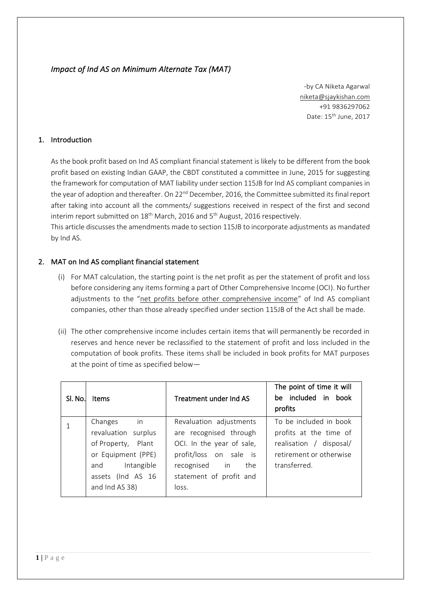## *Impact of Ind AS on Minimum Alternate Tax (MAT)*

-by CA Niketa Agarwal [niketa@sjaykishan.com](mailto:niketa@sjaykishan.com) +91 9836297062 Date: 15th June, 2017

#### 1. Introduction

As the book profit based on Ind AS compliant financial statement is likely to be different from the book profit based on existing Indian GAAP, the CBDT constituted a committee in June, 2015 for suggesting the framework for computation of MAT liability under section 115JB for Ind AS compliant companies in the year of adoption and thereafter. On 22<sup>nd</sup> December, 2016, the Committee submitted its final report after taking into account all the comments/ suggestions received in respect of the first and second interim report submitted on 18<sup>th</sup> March, 2016 and 5<sup>th</sup> August, 2016 respectively.

This article discusses the amendments made to section 115JB to incorporate adjustments as mandated by Ind AS.

#### 2. MAT on Ind AS compliant financial statement

- (i) For MAT calculation, the starting point is the net profit as per the statement of profit and loss before considering any items forming a part of Other Comprehensive Income (OCI). No further adjustments to the "net profits before other comprehensive income" of Ind AS compliant companies, other than those already specified under section 115JB of the Act shall be made.
- (ii) The other comprehensive income includes certain items that will permanently be recorded in reserves and hence never be reclassified to the statement of profit and loss included in the computation of book profits. These items shall be included in book profits for MAT purposes at the point of time as specified below—

| Sl. No. | <b>Items</b>                                                                                                                                         | Treatment under Ind AS                                                                                                                                               | The point of time it will<br>be included in book<br>profits                                                            |
|---------|------------------------------------------------------------------------------------------------------------------------------------------------------|----------------------------------------------------------------------------------------------------------------------------------------------------------------------|------------------------------------------------------------------------------------------------------------------------|
|         | $\mathsf{in}$<br>Changes<br>revaluation surplus<br>of Property, Plant<br>or Equipment (PPE)<br>and Intangible<br>assets (Ind AS 16<br>and Ind AS 38) | Revaluation adjustments<br>are recognised through<br>OCI. In the year of sale,<br>profit/loss on sale is<br>recognised in<br>the<br>statement of profit and<br>loss. | To be included in book<br>profits at the time of<br>realisation / disposal/<br>retirement or otherwise<br>transferred. |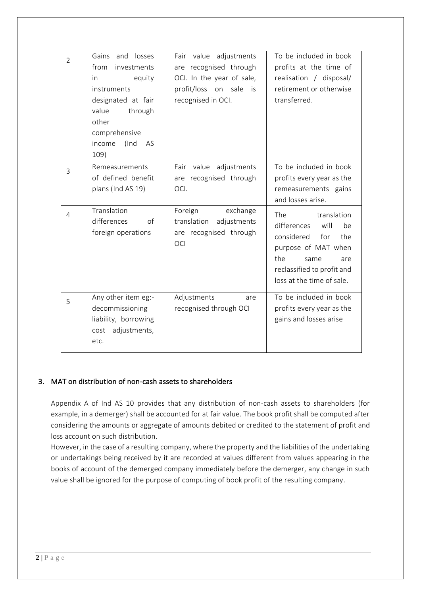| $\overline{2}$ | Gains and losses<br>from<br>investments<br>equity<br>in<br>instruments<br>designated at fair<br>value<br>through<br>other<br>comprehensive<br>income<br>(Ind<br>AS<br>109) | Fair value adjustments<br>are recognised through<br>OCI. In the year of sale,<br>profit/loss on sale<br>is<br>recognised in OCI. | To be included in book<br>profits at the time of<br>realisation / disposal/<br>retirement or otherwise<br>transferred.                                                                     |
|----------------|----------------------------------------------------------------------------------------------------------------------------------------------------------------------------|----------------------------------------------------------------------------------------------------------------------------------|--------------------------------------------------------------------------------------------------------------------------------------------------------------------------------------------|
| 3              | Remeasurements<br>of defined benefit<br>plans (Ind AS 19)                                                                                                                  | Fair value adjustments<br>are recognised through<br>OCI.                                                                         | To be included in book<br>profits every year as the<br>remeasurements gains<br>and losses arise.                                                                                           |
| 4              | Translation<br>differences<br>$\Omega$<br>foreign operations                                                                                                               | Foreign<br>exchange<br>translation<br>adjustments<br>are recognised through<br><b>OCI</b>                                        | <b>The</b><br>translation<br>will<br>differences<br>be<br>considered<br>for<br>the<br>purpose of MAT when<br>the<br>same<br>are<br>reclassified to profit and<br>loss at the time of sale. |
| 5              | Any other item eg:-<br>decommissioning<br>liability, borrowing<br>adjustments,<br>cost<br>etc.                                                                             | Adjustments<br>are<br>recognised through OCI                                                                                     | To be included in book<br>profits every year as the<br>gains and losses arise                                                                                                              |

## 3. MAT on distribution of non-cash assets to shareholders

Appendix A of Ind AS 10 provides that any distribution of non-cash assets to shareholders (for example, in a demerger) shall be accounted for at fair value. The book profit shall be computed after considering the amounts or aggregate of amounts debited or credited to the statement of profit and loss account on such distribution.

However, in the case of a resulting company, where the property and the liabilities of the undertaking or undertakings being received by it are recorded at values different from values appearing in the books of account of the demerged company immediately before the demerger, any change in such value shall be ignored for the purpose of computing of book profit of the resulting company*.*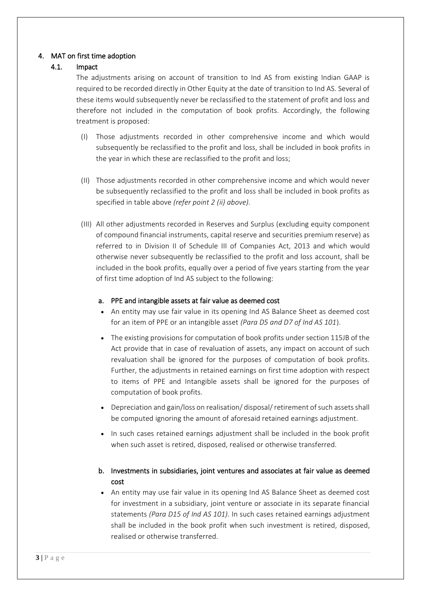#### 4. MAT on first time adoption

#### 4.1. Impact

The adjustments arising on account of transition to Ind AS from existing Indian GAAP is required to be recorded directly in Other Equity at the date of transition to Ind AS. Several of these items would subsequently never be reclassified to the statement of profit and loss and therefore not included in the computation of book profits. Accordingly, the following treatment is proposed:

- (I) Those adjustments recorded in other comprehensive income and which would subsequently be reclassified to the profit and loss, shall be included in book profits in the year in which these are reclassified to the profit and loss;
- (II) Those adjustments recorded in other comprehensive income and which would never be subsequently reclassified to the profit and loss shall be included in book profits as specified in table above *(refer point 2 (ii) above).*
- (III) All other adjustments recorded in Reserves and Surplus (excluding equity component of compound financial instruments, capital reserve and securities premium reserve) as referred to in Division II of Schedule III of Companies Act, 2013 and which would otherwise never subsequently be reclassified to the profit and loss account, shall be included in the book profits, equally over a period of five years starting from the year of first time adoption of Ind AS subject to the following:

#### a. PPE and intangible assets at fair value as deemed cost

- An entity may use fair value in its opening Ind AS Balance Sheet as deemed cost for an item of PPE or an intangible asset *(Para D5 and D7 of Ind AS 101*).
- The existing provisions for computation of book profits under section 115JB of the Act provide that in case of revaluation of assets, any impact on account of such revaluation shall be ignored for the purposes of computation of book profits. Further, the adjustments in retained earnings on first time adoption with respect to items of PPE and Intangible assets shall be ignored for the purposes of computation of book profits.
- Depreciation and gain/loss on realisation/ disposal/ retirement of such assets shall be computed ignoring the amount of aforesaid retained earnings adjustment.
- In such cases retained earnings adjustment shall be included in the book profit when such asset is retired, disposed, realised or otherwise transferred.

## b. Investments in subsidiaries, joint ventures and associates at fair value as deemed cost

• An entity may use fair value in its opening Ind AS Balance Sheet as deemed cost for investment in a subsidiary, joint venture or associate in its separate financial statements *(Para D15 of Ind AS 101)*. In such cases retained earnings adjustment shall be included in the book profit when such investment is retired, disposed, realised or otherwise transferred.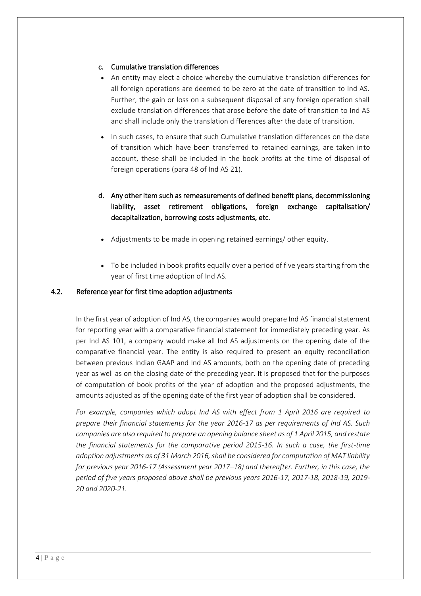#### c. Cumulative translation differences

- An entity may elect a choice whereby the cumulative translation differences for all foreign operations are deemed to be zero at the date of transition to Ind AS. Further, the gain or loss on a subsequent disposal of any foreign operation shall exclude translation differences that arose before the date of transition to Ind AS and shall include only the translation differences after the date of transition.
- In such cases, to ensure that such Cumulative translation differences on the date of transition which have been transferred to retained earnings, are taken into account, these shall be included in the book profits at the time of disposal of foreign operations (para 48 of Ind AS 21).

# d. Any other item such as remeasurements of defined benefit plans, decommissioning liability, asset retirement obligations, foreign exchange capitalisation/ decapitalization, borrowing costs adjustments, etc.

- Adjustments to be made in opening retained earnings/ other equity.
- To be included in book profits equally over a period of five years starting from the year of first time adoption of Ind AS.

#### 4.2. Reference year for first time adoption adjustments

In the first year of adoption of Ind AS, the companies would prepare Ind AS financial statement for reporting year with a comparative financial statement for immediately preceding year. As per Ind AS 101, a company would make all Ind AS adjustments on the opening date of the comparative financial year. The entity is also required to present an equity reconciliation between previous Indian GAAP and Ind AS amounts, both on the opening date of preceding year as well as on the closing date of the preceding year. It is proposed that for the purposes of computation of book profits of the year of adoption and the proposed adjustments, the amounts adjusted as of the opening date of the first year of adoption shall be considered.

*For example, companies which adopt Ind AS with effect from 1 April 2016 are required to prepare their financial statements for the year 2016-17 as per requirements of Ind AS. Such companies are also required to prepare an opening balance sheet as of 1 April 2015, and restate the financial statements for the comparative period 2015-16. In such a case, the first-time adoption adjustments as of 31 March 2016, shall be considered for computation of MAT liability for previous year 2016-17 (Assessment year 2017¬18) and thereafter. Further, in this case, the period of five years proposed above shall be previous years 2016-17, 2017-18, 2018-19, 2019- 20 and 2020-21.*